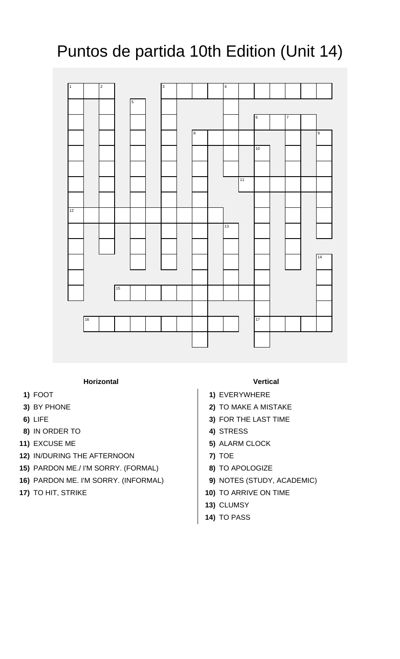## Puntos de partida 10th Edition (Unit 14)



## **Horizontal Vertical**

- 
- 
- 
- **8)** IN ORDER TO **4)** STRESS
- 
- **12)** IN/DURING THE AFTERNOON **7)** TOE
- **15)** PARDON ME./ I'M SORRY. (FORMAL) **8)** TO APOLOGIZE
- **16)** PARDON ME. I'M SORRY. (INFORMAL) **9)** NOTES (STUDY, ACADEMIC)
- 

- **1)** FOOT **1)** EVERYWHERE
- **3)** BY PHONE **2)** TO MAKE A MISTAKE
- **6)** LIFE **3)** FOR THE LAST TIME
	-
- **11)** EXCUSE ME **5)** ALARM CLOCK
	-
	-
	-
- **17)** TO HIT, STRIKE **10)** TO ARRIVE ON TIME
	- **13)** CLUMSY
	- **14)** TO PASS